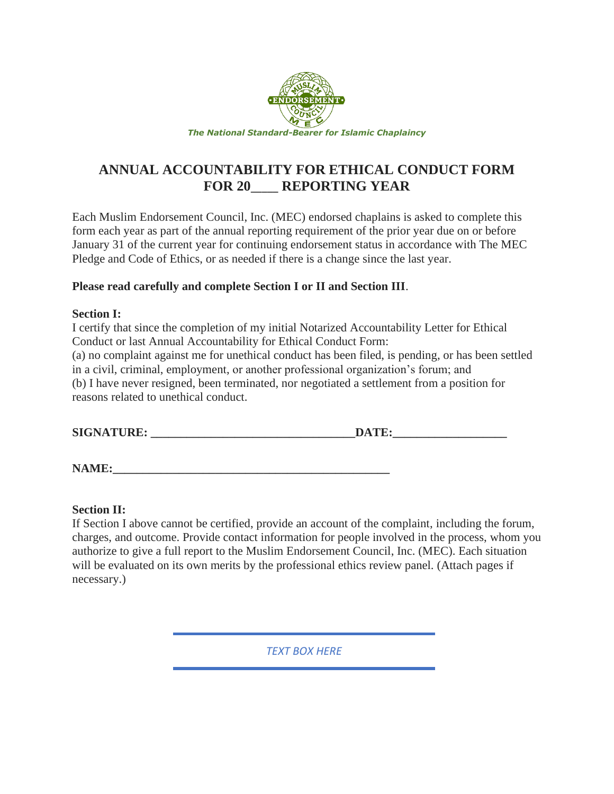

# **ANNUAL ACCOUNTABILITY FOR ETHICAL CONDUCT FORM FOR 20**\_\_\_\_\_ **REPORTING YEAR**

Each Muslim Endorsement Council, Inc. (MEC) endorsed chaplains is asked to complete this form each year as part of the annual reporting requirement of the prior year due on or before January 31 of the current year for continuing endorsement status in accordance with The MEC Pledge and Code of Ethics, or as needed if there is a change since the last year.

## **Please read carefully and complete Section I or II and Section III**.

## **Section I:**

I certify that since the completion of my initial Notarized Accountability Letter for Ethical Conduct or last Annual Accountability for Ethical Conduct Form:

(a) no complaint against me for unethical conduct has been filed, is pending, or has been settled in a civil, criminal, employment, or another professional organization's forum; and (b) I have never resigned, been terminated, nor negotiated a settlement from a position for reasons related to unethical conduct.

| <b>SIGNATURE:</b><br>ww. |  |
|--------------------------|--|
|--------------------------|--|

**NAME:\_\_\_\_\_\_\_\_\_\_\_\_\_\_\_\_\_\_\_\_\_\_\_\_\_\_\_\_\_\_\_\_\_\_\_\_\_\_\_\_\_\_\_\_\_\_** 

## **Section II:**

If Section I above cannot be certified, provide an account of the complaint, including the forum, charges, and outcome. Provide contact information for people involved in the process, whom you authorize to give a full report to the Muslim Endorsement Council, Inc. (MEC). Each situation will be evaluated on its own merits by the professional ethics review panel. (Attach pages if necessary.)

*TEXT BOX HERE*